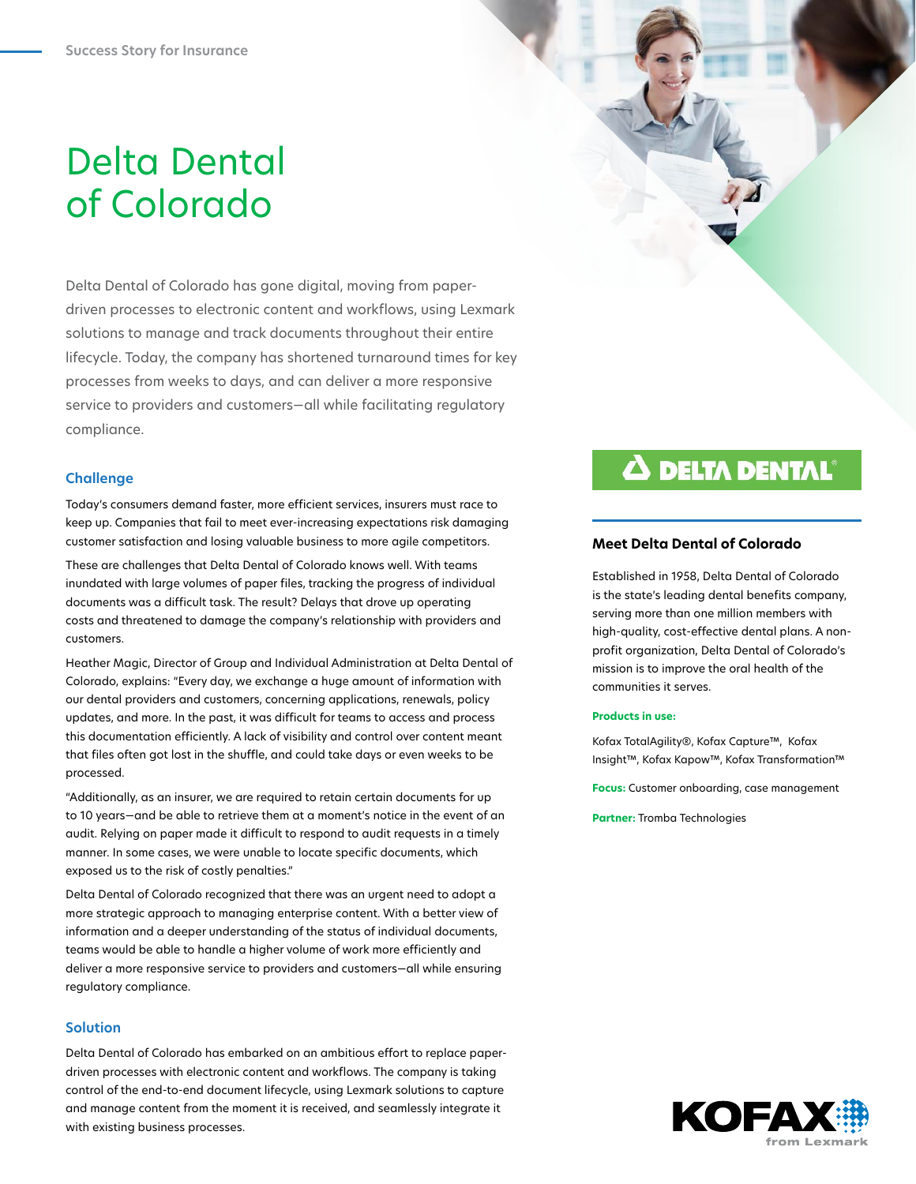# Delta Dental of Colorado

Delta Dental of Colorado has gone digital, moving from paperdriven processes to electronic content and workflows, using Lexmark solutions to manage and track documents throughout their entire lifecycle. Today, the company has shortened turnaround times for key processes from weeks to days, and can deliver a more responsive service to providers and customers—all while facilitating regulatory compliance.

## **Challenge**

Today's consumers demand faster, more efficient services, insurers must race to keep up. Companies that fail to meet ever-increasing expectations risk damaging customer satisfaction and losing valuable business to more agile competitors.

These are challenges that Delta Dental of Colorado knows well. With teams inundated with large volumes of paper files, tracking the progress of individual documents was a difficult task. The result? Delays that drove up operating costs and threatened to damage the company's relationship with providers and customers.

Heather Magic, Director of Group and Individual Administration at Delta Dental of Colorado, explains: "Every day, we exchange a huge amount of information with our dental providers and customers, concerning applications, renewals, policy updates, and more. In the past, it was difficult for teams to access and process this documentation efficiently. A lack of visibility and control over content meant that files often got lost in the shuffle, and could take days or even weeks to be processed.

"Additionally, as an insurer, we are required to retain certain documents for up to 10 years—and be able to retrieve them at a moment's notice in the event of an audit. Relying on paper made it difficult to respond to audit requests in a timely manner. In some cases, we were unable to locate specific documents, which exposed us to the risk of costly penalties."

Delta Dental of Colorado recognized that there was an urgent need to adopt a more strategic approach to managing enterprise content. With a better view of information and a deeper understanding of the status of individual documents, teams would be able to handle a higher volume of work more efficiently and deliver a more responsive service to providers and customers—all while ensuring regulatory compliance.

## **Solution**

Delta Dental of Colorado has embarked on an ambitious effort to replace paperdriven processes with electronic content and workflows. The company is taking control of the end-to-end document lifecycle, using Lexmark solutions to capture and manage content from the moment it is received, and seamlessly integrate it with existing business processes.

# **A DELTA DENTAL**

#### **Meet Delta Dental of Colorado**

Established in 1958, Delta Dental of Colorado is the state's leading dental benefits company, serving more than one million members with high-quality, cost-effective dental plans. A nonprofit organization, Delta Dental of Colorado's mission is to improve the oral health of the communities it serves.

#### **Products in use:**

Kofax TotalAgility®, Kofax Capture™, Kofax Insight™, Kofax Kapow™, Kofax Transformation™

**Focus:** Customer onboarding, case management

**Partner:** Tromba Technologies

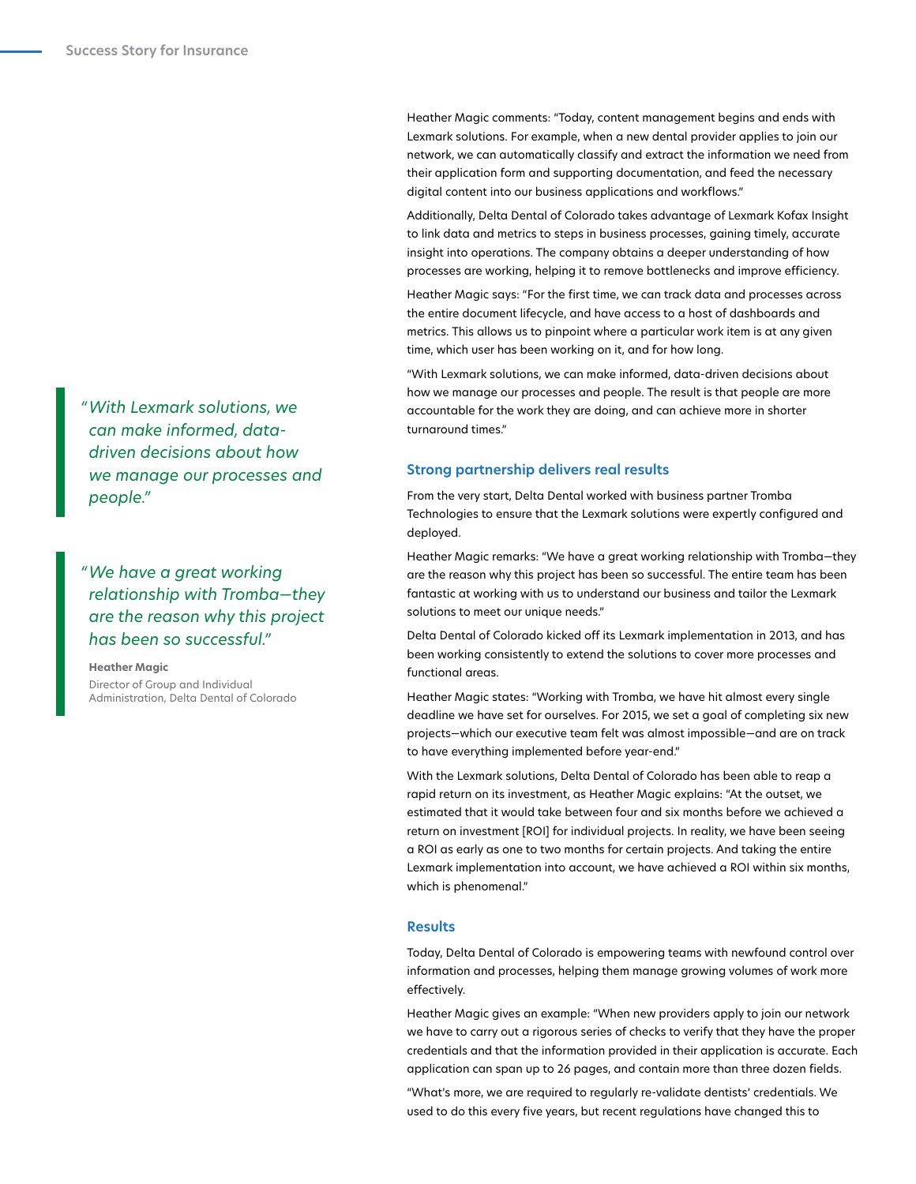Heather Magic comments: "Today, content management begins and ends with Lexmark solutions. For example, when a new dental provider applies to join our network, we can automatically classify and extract the information we need from their application form and supporting documentation, and feed the necessary digital content into our business applications and workflows."

Additionally, Delta Dental of Colorado takes advantage of Lexmark Kofax Insight to link data and metrics to steps in business processes, gaining timely, accurate insight into operations. The company obtains a deeper understanding of how processes are working, helping it to remove bottlenecks and improve efficiency.

Heather Magic says: "For the first time, we can track data and processes across the entire document lifecycle, and have access to a host of dashboards and metrics. This allows us to pinpoint where a particular work item is at any given time, which user has been working on it, and for how long.

"With Lexmark solutions, we can make informed, data-driven decisions about how we manage our processes and people. The result is that people are more accountable for the work they are doing, and can achieve more in shorter turnaround times."

#### **Strong partnership delivers real results**

From the very start, Delta Dental worked with business partner Tromba Technologies to ensure that the Lexmark solutions were expertly configured and deployed.

Heather Magic remarks: "We have a great working relationship with Tromba—they are the reason why this project has been so successful. The entire team has been fantastic at working with us to understand our business and tailor the Lexmark solutions to meet our unique needs."

Delta Dental of Colorado kicked off its Lexmark implementation in 2013, and has been working consistently to extend the solutions to cover more processes and functional areas.

Heather Magic states: "Working with Tromba, we have hit almost every single deadline we have set for ourselves. For 2015, we set a goal of completing six new projects—which our executive team felt was almost impossible—and are on track to have everything implemented before year-end."

With the Lexmark solutions, Delta Dental of Colorado has been able to reap a rapid return on its investment, as Heather Magic explains: "At the outset, we estimated that it would take between four and six months before we achieved a return on investment [ROI] for individual projects. In reality, we have been seeing a ROI as early as one to two months for certain projects. And taking the entire Lexmark implementation into account, we have achieved a ROI within six months, which is phenomenal."

#### **Results**

Today, Delta Dental of Colorado is empowering teams with newfound control over information and processes, helping them manage growing volumes of work more effectively.

Heather Magic gives an example: "When new providers apply to join our network we have to carry out a rigorous series of checks to verify that they have the proper credentials and that the information provided in their application is accurate. Each application can span up to 26 pages, and contain more than three dozen fields.

"What's more, we are required to regularly re-validate dentists' credentials. We used to do this every five years, but recent regulations have changed this to

*"With Lexmark solutions, we can make informed, datadriven decisions about how we manage our processes and people."*

*"We have a great working relationship with Tromba—they are the reason why this project has been so successful."*

**Heather Magic** Director of Group and Individual Administration, Delta Dental of Colorado